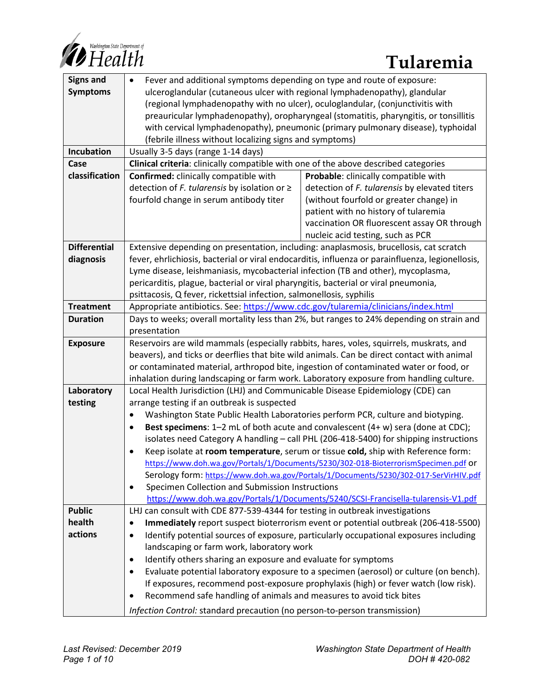

| <b>Signs and</b>    | Fever and additional symptoms depending on type and route of exposure:<br>$\bullet$                                                                                     |
|---------------------|-------------------------------------------------------------------------------------------------------------------------------------------------------------------------|
| <b>Symptoms</b>     | ulceroglandular (cutaneous ulcer with regional lymphadenopathy), glandular                                                                                              |
|                     | (regional lymphadenopathy with no ulcer), oculoglandular, (conjunctivitis with                                                                                          |
|                     | preauricular lymphadenopathy), oropharyngeal (stomatitis, pharyngitis, or tonsillitis                                                                                   |
|                     | with cervical lymphadenopathy), pneumonic (primary pulmonary disease), typhoidal                                                                                        |
|                     | (febrile illness without localizing signs and symptoms)                                                                                                                 |
| Incubation          | Usually 3-5 days (range 1-14 days)                                                                                                                                      |
| Case                | Clinical criteria: clinically compatible with one of the above described categories                                                                                     |
| classification      | <b>Confirmed:</b> clinically compatible with<br>Probable: clinically compatible with                                                                                    |
|                     | detection of F. tularensis by elevated titers<br>detection of F. tularensis by isolation or $\geq$                                                                      |
|                     | fourfold change in serum antibody titer<br>(without fourfold or greater change) in                                                                                      |
|                     | patient with no history of tularemia                                                                                                                                    |
|                     | vaccination OR fluorescent assay OR through                                                                                                                             |
|                     | nucleic acid testing, such as PCR                                                                                                                                       |
| <b>Differential</b> | Extensive depending on presentation, including: anaplasmosis, brucellosis, cat scratch                                                                                  |
| diagnosis           | fever, ehrlichiosis, bacterial or viral endocarditis, influenza or parainfluenza, legionellosis,                                                                        |
|                     | Lyme disease, leishmaniasis, mycobacterial infection (TB and other), mycoplasma,<br>pericarditis, plague, bacterial or viral pharyngitis, bacterial or viral pneumonia, |
|                     | psittacosis, Q fever, rickettsial infection, salmonellosis, syphilis                                                                                                    |
| <b>Treatment</b>    | Appropriate antibiotics. See: https://www.cdc.gov/tularemia/clinicians/index.html                                                                                       |
| <b>Duration</b>     | Days to weeks; overall mortality less than 2%, but ranges to 24% depending on strain and                                                                                |
|                     | presentation                                                                                                                                                            |
| <b>Exposure</b>     | Reservoirs are wild mammals (especially rabbits, hares, voles, squirrels, muskrats, and                                                                                 |
|                     | beavers), and ticks or deerflies that bite wild animals. Can be direct contact with animal                                                                              |
|                     | or contaminated material, arthropod bite, ingestion of contaminated water or food, or                                                                                   |
|                     | inhalation during landscaping or farm work. Laboratory exposure from handling culture.                                                                                  |
| Laboratory          | Local Health Jurisdiction (LHJ) and Communicable Disease Epidemiology (CDE) can                                                                                         |
| testing             | arrange testing if an outbreak is suspected                                                                                                                             |
|                     | Washington State Public Health Laboratories perform PCR, culture and biotyping.<br>$\bullet$                                                                            |
|                     | Best specimens: 1-2 mL of both acute and convalescent (4+ w) sera (done at CDC);<br>$\bullet$                                                                           |
|                     | isolates need Category A handling - call PHL (206-418-5400) for shipping instructions                                                                                   |
|                     | Keep isolate at room temperature, serum or tissue cold, ship with Reference form:<br>$\bullet$                                                                          |
|                     | https://www.doh.wa.gov/Portals/1/Documents/5230/302-018-BioterrorismSpecimen.pdf or                                                                                     |
|                     | Serology form: https://www.doh.wa.gov/Portals/1/Documents/5230/302-017-SerVirHIV.pdf                                                                                    |
|                     | Specimen Collection and Submission Instructions<br>$\bullet$                                                                                                            |
|                     | https://www.doh.wa.gov/Portals/1/Documents/5240/SCSI-Francisella-tularensis-V1.pdf                                                                                      |
| <b>Public</b>       | LHJ can consult with CDE 877-539-4344 for testing in outbreak investigations                                                                                            |
| health              | Immediately report suspect bioterrorism event or potential outbreak (206-418-5500)                                                                                      |
| actions             | Identify potential sources of exposure, particularly occupational exposures including<br>$\bullet$                                                                      |
|                     | landscaping or farm work, laboratory work                                                                                                                               |
|                     | Identify others sharing an exposure and evaluate for symptoms<br>$\bullet$                                                                                              |
|                     | Evaluate potential laboratory exposure to a specimen (aerosol) or culture (on bench).                                                                                   |
|                     | If exposures, recommend post-exposure prophylaxis (high) or fever watch (low risk).                                                                                     |
|                     | Recommend safe handling of animals and measures to avoid tick bites                                                                                                     |
|                     | Infection Control: standard precaution (no person-to-person transmission)                                                                                               |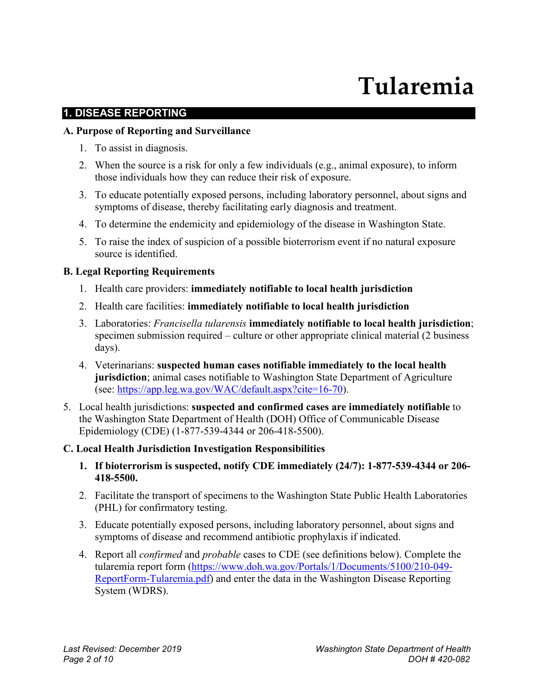# **Tularemia**

#### **1. DISEASE REPORTING**

#### **A. Purpose of Reporting and Surveillance**

- 1. To assist in diagnosis.
- 2. When the source is a risk for only a few individuals (e.g., animal exposure), to inform those individuals how they can reduce their risk of exposure.
- 3. To educate potentially exposed persons, including laboratory personnel, about signs and symptoms of disease, thereby facilitating early diagnosis and treatment.
- 4. To determine the endemicity and epidemiology of the disease in Washington State.
- 5. To raise the index of suspicion of a possible bioterrorism event if no natural exposure source is identified.

#### **B. Legal Reporting Requirements**

- 1. Health care providers: **immediately notifiable to local health jurisdiction**
- 2. Health care facilities: **immediately notifiable to local health jurisdiction**
- 3. Laboratories: *Francisella tularensis* **immediately notifiable to local health jurisdiction**; specimen submission required – culture or other appropriate clinical material (2 business days).
- 4. Veterinarians: **suspected human cases notifiable immediately to the local health jurisdiction**; animal cases notifiable to Washington State Department of Agriculture (see: [https://app.leg.wa.gov/WAC/default.aspx?cite=16-70\)](https://app.leg.wa.gov/WAC/default.aspx?cite=16-70).
- 5. Local health jurisdictions: **suspected and confirmed cases are immediately notifiable** to the Washington State Department of Health (DOH) Office of Communicable Disease Epidemiology (CDE) (1-877-539-4344 or 206-418-5500).

#### **C. Local Health Jurisdiction Investigation Responsibilities**

- **1. If bioterrorism is suspected, notify CDE immediately (24/7): 1-877-539-4344 or 206- 418-5500.**
- 2. Facilitate the transport of specimens to the Washington State Public Health Laboratories (PHL) for confirmatory testing.
- 3. Educate potentially exposed persons, including laboratory personnel, about signs and symptoms of disease and recommend antibiotic prophylaxis if indicated.
- 4. Report all *confirmed* and *probable* cases to CDE (see definitions below). Complete the tularemia report form [\(https://www.doh.wa.gov/Portals/1/Documents/5100/210-049-](https://www.doh.wa.gov/Portals/1/Documents/5100/210-049-ReportForm-Tularemia.pdf) [ReportForm-Tularemia.pdf\)](https://www.doh.wa.gov/Portals/1/Documents/5100/210-049-ReportForm-Tularemia.pdf) and enter the data in the Washington Disease Reporting System (WDRS).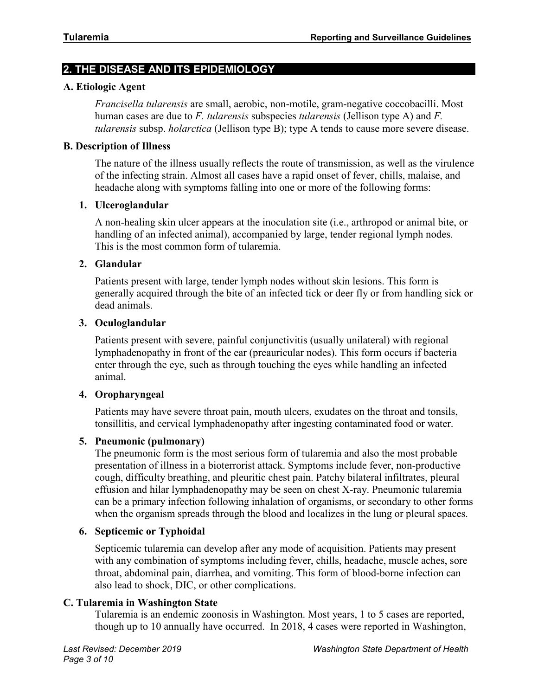# **2. THE DISEASE AND ITS EPIDEMIOLOGY**

#### **A. Etiologic Agent**

*Francisella tularensis* are small, aerobic, non-motile, gram-negative coccobacilli. Most human cases are due to *F. tularensis* subspecies *tularensis* (Jellison type A) and *F. tularensis* subsp. *holarctica* (Jellison type B); type A tends to cause more severe disease.

#### **B. Description of Illness**

The nature of the illness usually reflects the route of transmission, as well as the virulence of the infecting strain. Almost all cases have a rapid onset of fever, chills, malaise, and headache along with symptoms falling into one or more of the following forms:

#### **1. Ulceroglandular**

A non-healing skin ulcer appears at the inoculation site (i.e., arthropod or animal bite, or handling of an infected animal), accompanied by large, tender regional lymph nodes. This is the most common form of tularemia.

#### **2. Glandular**

Patients present with large, tender lymph nodes without skin lesions. This form is generally acquired through the bite of an infected tick or deer fly or from handling sick or dead animals.

#### **3. Oculoglandular**

Patients present with severe, painful conjunctivitis (usually unilateral) with regional lymphadenopathy in front of the ear (preauricular nodes). This form occurs if bacteria enter through the eye, such as through touching the eyes while handling an infected animal.

#### **4. Oropharyngeal**

Patients may have severe throat pain, mouth ulcers, exudates on the throat and tonsils, tonsillitis, and cervical lymphadenopathy after ingesting contaminated food or water.

#### **5. Pneumonic (pulmonary)**

The pneumonic form is the most serious form of tularemia and also the most probable presentation of illness in a bioterrorist attack. Symptoms include fever, non-productive cough, difficulty breathing, and pleuritic chest pain. Patchy bilateral infiltrates, pleural effusion and hilar lymphadenopathy may be seen on chest X-ray. Pneumonic tularemia can be a primary infection following inhalation of organisms, or secondary to other forms when the organism spreads through the blood and localizes in the lung or pleural spaces.

#### **6. Septicemic or Typhoidal**

Septicemic tularemia can develop after any mode of acquisition. Patients may present with any combination of symptoms including fever, chills, headache, muscle aches, sore throat, abdominal pain, diarrhea, and vomiting. This form of blood-borne infection can also lead to shock, DIC, or other complications.

#### **C. Tularemia in Washington State**

Tularemia is an endemic zoonosis in Washington. Most years, 1 to 5 cases are reported, though up to 10 annually have occurred. In 2018, 4 cases were reported in Washington,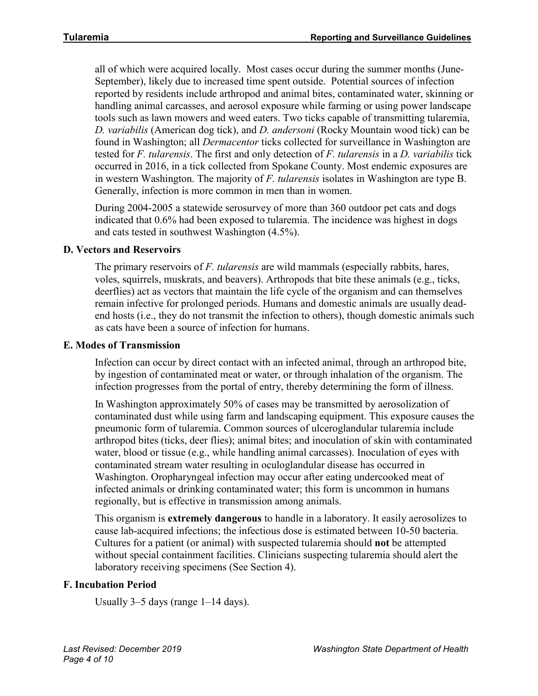all of which were acquired locally. Most cases occur during the summer months (June-September), likely due to increased time spent outside. Potential sources of infection reported by residents include arthropod and animal bites, contaminated water, skinning or handling animal carcasses, and aerosol exposure while farming or using power landscape tools such as lawn mowers and weed eaters. Two ticks capable of transmitting tularemia, *D. variabilis* (American dog tick), and *D. andersoni* (Rocky Mountain wood tick) can be found in Washington; all *Dermacentor* ticks collected for surveillance in Washington are tested for *F. tularensis*. The first and only detection of *F. tularensis* in a *D. variabilis* tick occurred in 2016, in a tick collected from Spokane County. Most endemic exposures are in western Washington. The majority of *F. tularensis* isolates in Washington are type B. Generally, infection is more common in men than in women.

During 2004-2005 a statewide serosurvey of more than 360 outdoor pet cats and dogs indicated that 0.6% had been exposed to tularemia. The incidence was highest in dogs and cats tested in southwest Washington (4.5%).

# **D. Vectors and Reservoirs**

The primary reservoirs of *F. tularensis* are wild mammals (especially rabbits, hares, voles, squirrels, muskrats, and beavers). Arthropods that bite these animals (e.g., ticks, deerflies) act as vectors that maintain the life cycle of the organism and can themselves remain infective for prolonged periods. Humans and domestic animals are usually deadend hosts (i.e., they do not transmit the infection to others), though domestic animals such as cats have been a source of infection for humans.

# **E. Modes of Transmission**

Infection can occur by direct contact with an infected animal, through an arthropod bite, by ingestion of contaminated meat or water, or through inhalation of the organism. The infection progresses from the portal of entry, thereby determining the form of illness.

In Washington approximately 50% of cases may be transmitted by aerosolization of contaminated dust while using farm and landscaping equipment. This exposure causes the pneumonic form of tularemia. Common sources of ulceroglandular tularemia include arthropod bites (ticks, deer flies); animal bites; and inoculation of skin with contaminated water, blood or tissue (e.g., while handling animal carcasses). Inoculation of eyes with contaminated stream water resulting in oculoglandular disease has occurred in Washington. Oropharyngeal infection may occur after eating undercooked meat of infected animals or drinking contaminated water; this form is uncommon in humans regionally, but is effective in transmission among animals.

This organism is **extremely dangerous** to handle in a laboratory. It easily aerosolizes to cause lab-acquired infections; the infectious dose is estimated between 10-50 bacteria. Cultures for a patient (or animal) with suspected tularemia should **not** be attempted without special containment facilities. Clinicians suspecting tularemia should alert the laboratory receiving specimens (See Section 4).

# **F. Incubation Period**

Usually  $3-5$  days (range  $1-14$  days).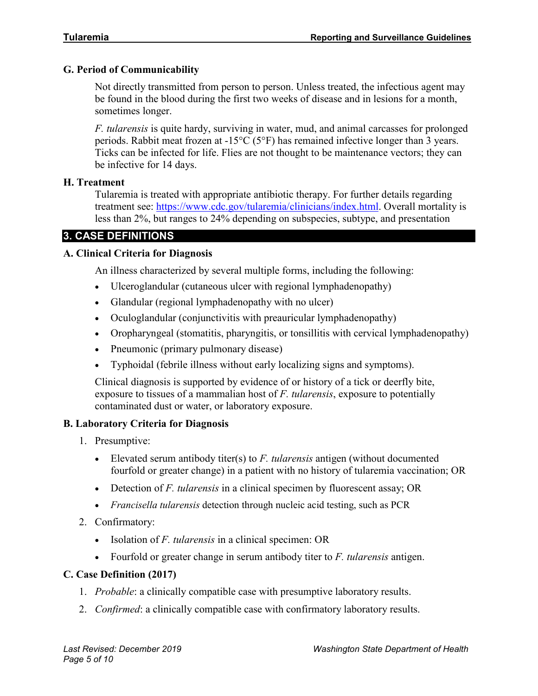# **G. Period of Communicability**

Not directly transmitted from person to person. Unless treated, the infectious agent may be found in the blood during the first two weeks of disease and in lesions for a month, sometimes longer.

*F. tularensis* is quite hardy, surviving in water, mud, and animal carcasses for prolonged periods. Rabbit meat frozen at  $-15^{\circ}C$  (5°F) has remained infective longer than 3 years. Ticks can be infected for life. Flies are not thought to be maintenance vectors; they can be infective for 14 days.

# **H. Treatment**

Tularemia is treated with appropriate antibiotic therapy. For further details regarding treatment see: [https://www.cdc.gov/tularemia/clinicians/index.html.](https://www.cdc.gov/tularemia/clinicians/index.html) Overall mortality is less than 2%, but ranges to 24% depending on subspecies, subtype, and presentation

# **3. CASE DEFINITIONS**

# **A. Clinical Criteria for Diagnosis**

An illness characterized by several multiple forms, including the following:

- Ulceroglandular (cutaneous ulcer with regional lymphadenopathy)
- Glandular (regional lymphadenopathy with no ulcer)
- Oculoglandular (conjunctivitis with preauricular lymphadenopathy)
- Oropharyngeal (stomatitis, pharyngitis, or tonsillitis with cervical lymphadenopathy)
- Pneumonic (primary pulmonary disease)
- Typhoidal (febrile illness without early localizing signs and symptoms).

Clinical diagnosis is supported by evidence of or history of a tick or deerfly bite, exposure to tissues of a mammalian host of *F. tularensis*, exposure to potentially contaminated dust or water, or laboratory exposure.

# **B. Laboratory Criteria for Diagnosis**

- 1. Presumptive:
	- Elevated serum antibody titer(s) to *F. tularensis* antigen (without documented fourfold or greater change) in a patient with no history of tularemia vaccination; OR
	- Detection of *F. tularensis* in a clinical specimen by fluorescent assay; OR
	- *Francisella tularensis* detection through nucleic acid testing, such as PCR
- 2. Confirmatory:
	- Isolation of *F. tularensis* in a clinical specimen: OR
	- Fourfold or greater change in serum antibody titer to *F. tularensis* antigen.

# **C. Case Definition (2017)**

- 1. *Probable*: a clinically compatible case with presumptive laboratory results.
- 2. *Confirmed*: a clinically compatible case with confirmatory laboratory results.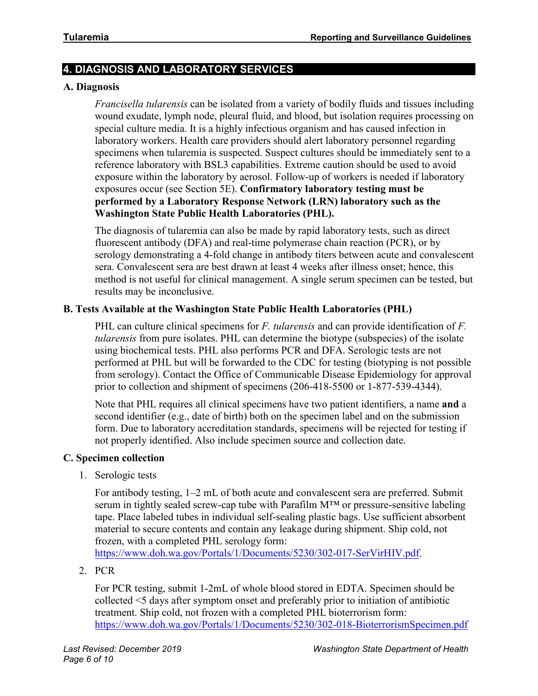# **4. DIAGNOSIS AND LABORATORY SERVICES**

#### **A. Diagnosis**

*Francisella tularensis* can be isolated from a variety of bodily fluids and tissues including wound exudate, lymph node, pleural fluid, and blood, but isolation requires processing on special culture media. It is a highly infectious organism and has caused infection in laboratory workers. Health care providers should alert laboratory personnel regarding specimens when tularemia is suspected. Suspect cultures should be immediately sent to a reference laboratory with BSL3 capabilities. Extreme caution should be used to avoid exposure within the laboratory by aerosol. Follow-up of workers is needed if laboratory exposures occur (see Section 5E). **Confirmatory laboratory testing must be performed by a Laboratory Response Network (LRN) laboratory such as the Washington State Public Health Laboratories (PHL).**

The diagnosis of tularemia can also be made by rapid laboratory tests, such as direct fluorescent antibody (DFA) and real-time polymerase chain reaction (PCR), or by serology demonstrating a 4-fold change in antibody titers between acute and convalescent sera. Convalescent sera are best drawn at least 4 weeks after illness onset; hence, this method is not useful for clinical management. A single serum specimen can be tested, but results may be inconclusive.

#### **B. Tests Available at the Washington State Public Health Laboratories (PHL)**

PHL can culture clinical specimens for *F. tularensis* and can provide identification of *F. tularensis* from pure isolates. PHL can determine the biotype (subspecies) of the isolate using biochemical tests. PHL also performs PCR and DFA. Serologic tests are not performed at PHL but will be forwarded to the CDC for testing (biotyping is not possible from serology). Contact the Office of Communicable Disease Epidemiology for approval prior to collection and shipment of specimens (206-418-5500 or 1-877-539-4344).

Note that PHL requires all clinical specimens have two patient identifiers, a name **and** a second identifier (e.g., date of birth) both on the specimen label and on the submission form. Due to laboratory accreditation standards, specimens will be rejected for testing if not properly identified. Also include specimen source and collection date.

#### **C. Specimen collection**

1. Serologic tests

For antibody testing, 1–2 mL of both acute and convalescent sera are preferred. Submit serum in tightly sealed screw-cap tube with Parafilm M™ or pressure-sensitive labeling tape. Place labeled tubes in individual self-sealing plastic bags. Use sufficient absorbent material to secure contents and contain any leakage during shipment. Ship cold, not frozen, with a completed PHL serology form:

[https://www.doh.wa.gov/Portals/1/Documents/5230/302-017-SerVirHIV.pdf.](https://www.doh.wa.gov/Portals/1/Documents/5230/302-017-SerVirHIV.pdf)

2. PCR

For PCR testing, submit 1-2mL of whole blood stored in EDTA. Specimen should be collected <5 days after symptom onset and preferably prior to initiation of antibiotic treatment. Ship cold, not frozen with a completed PHL bioterrorism form: <https://www.doh.wa.gov/Portals/1/Documents/5230/302-018-BioterrorismSpecimen.pdf>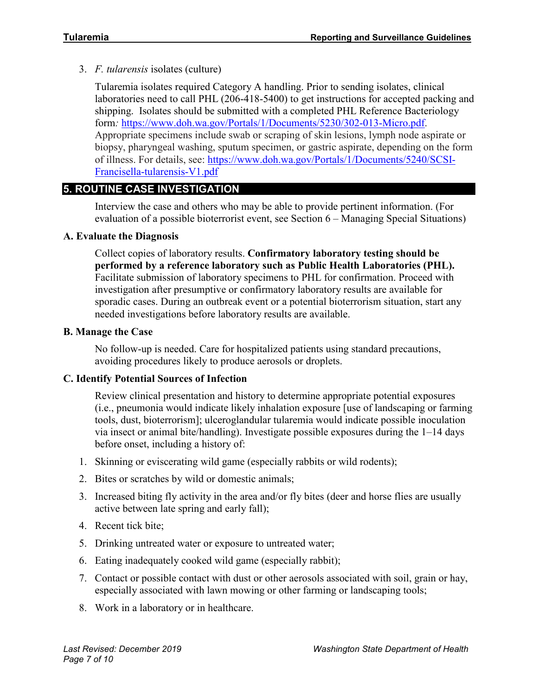3. *F. tularensis* isolates (culture)

Tularemia isolates required Category A handling. Prior to sending isolates, clinical laboratories need to call PHL (206-418-5400) to get instructions for accepted packing and shipping. Isolates should be submitted with a completed PHL Reference Bacteriology form*:* [https://www.doh.wa.gov/Portals/1/Documents/5230/302-013-Micro.pdf.](https://www.doh.wa.gov/Portals/1/Documents/5230/302-013-Micro.pdf) Appropriate specimens include swab or scraping of skin lesions, lymph node aspirate or biopsy, pharyngeal washing, sputum specimen, or gastric aspirate, depending on the form of illness. For details, see: [https://www.doh.wa.gov/Portals/1/Documents/5240/SCSI-](https://www.doh.wa.gov/Portals/1/Documents/5240/SCSI-Francisella-tularensis-V1.pdf)[Francisella-tularensis-V1.pdf](https://www.doh.wa.gov/Portals/1/Documents/5240/SCSI-Francisella-tularensis-V1.pdf)

# **5. ROUTINE CASE INVESTIGATION**

Interview the case and others who may be able to provide pertinent information. (For evaluation of a possible bioterrorist event, see Section 6 – Managing Special Situations)

# **A. Evaluate the Diagnosis**

Collect copies of laboratory results. **Confirmatory laboratory testing should be performed by a reference laboratory such as Public Health Laboratories (PHL).** Facilitate submission of laboratory specimens to PHL for confirmation. Proceed with investigation after presumptive or confirmatory laboratory results are available for sporadic cases. During an outbreak event or a potential bioterrorism situation, start any needed investigations before laboratory results are available.

#### **B. Manage the Case**

No follow-up is needed. Care for hospitalized patients using standard precautions, avoiding procedures likely to produce aerosols or droplets.

#### **C. Identify Potential Sources of Infection**

Review clinical presentation and history to determine appropriate potential exposures (i.e., pneumonia would indicate likely inhalation exposure [use of landscaping or farming tools, dust, bioterrorism]; ulceroglandular tularemia would indicate possible inoculation via insect or animal bite/handling). Investigate possible exposures during the 1–14 days before onset, including a history of:

- 1. Skinning or eviscerating wild game (especially rabbits or wild rodents);
- 2. Bites or scratches by wild or domestic animals;
- 3. Increased biting fly activity in the area and/or fly bites (deer and horse flies are usually active between late spring and early fall);
- 4. Recent tick bite;
- 5. Drinking untreated water or exposure to untreated water;
- 6. Eating inadequately cooked wild game (especially rabbit);
- 7. Contact or possible contact with dust or other aerosols associated with soil, grain or hay, especially associated with lawn mowing or other farming or landscaping tools;
- 8. Work in a laboratory or in healthcare.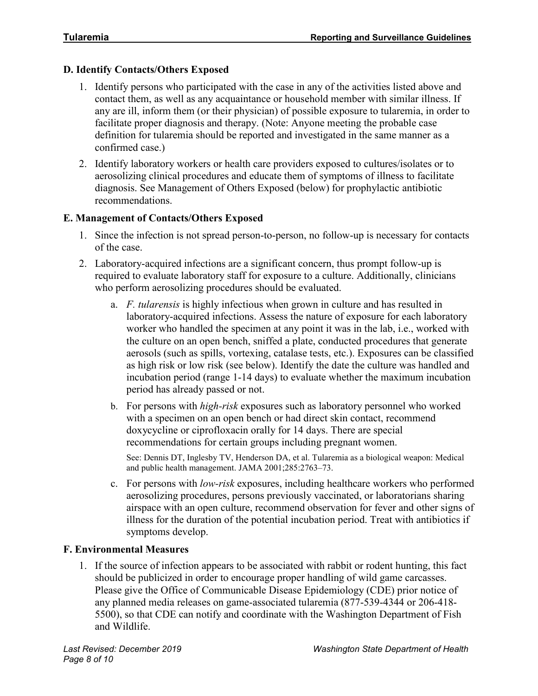# **D. Identify Contacts/Others Exposed**

- 1. Identify persons who participated with the case in any of the activities listed above and contact them, as well as any acquaintance or household member with similar illness. If any are ill, inform them (or their physician) of possible exposure to tularemia, in order to facilitate proper diagnosis and therapy. (Note: Anyone meeting the probable case definition for tularemia should be reported and investigated in the same manner as a confirmed case.)
- 2. Identify laboratory workers or health care providers exposed to cultures/isolates or to aerosolizing clinical procedures and educate them of symptoms of illness to facilitate diagnosis. See Management of Others Exposed (below) for prophylactic antibiotic recommendations.

#### **E. Management of Contacts/Others Exposed**

- 1. Since the infection is not spread person-to-person, no follow-up is necessary for contacts of the case.
- 2. Laboratory-acquired infections are a significant concern, thus prompt follow-up is required to evaluate laboratory staff for exposure to a culture. Additionally, clinicians who perform aerosolizing procedures should be evaluated.
	- a. *F. tularensis* is highly infectious when grown in culture and has resulted in laboratory-acquired infections. Assess the nature of exposure for each laboratory worker who handled the specimen at any point it was in the lab, i.e., worked with the culture on an open bench, sniffed a plate, conducted procedures that generate aerosols (such as spills, vortexing, catalase tests, etc.). Exposures can be classified as high risk or low risk (see below). Identify the date the culture was handled and incubation period (range 1-14 days) to evaluate whether the maximum incubation period has already passed or not.
	- b. For persons with *high-risk* exposures such as laboratory personnel who worked with a specimen on an open bench or had direct skin contact, recommend doxycycline or ciprofloxacin orally for 14 days. There are special recommendations for certain groups including pregnant women.

See: Dennis DT, Inglesby TV, Henderson DA, et al. Tularemia as a biological weapon: Medical and public health management. JAMA 2001;285:2763–73.

c. For persons with *low-risk* exposures, including healthcare workers who performed aerosolizing procedures, persons previously vaccinated, or laboratorians sharing airspace with an open culture, recommend observation for fever and other signs of illness for the duration of the potential incubation period. Treat with antibiotics if symptoms develop.

# **F. Environmental Measures**

1. If the source of infection appears to be associated with rabbit or rodent hunting, this fact should be publicized in order to encourage proper handling of wild game carcasses. Please give the Office of Communicable Disease Epidemiology (CDE) prior notice of any planned media releases on game-associated tularemia (877-539-4344 or 206-418- 5500), so that CDE can notify and coordinate with the Washington Department of Fish and Wildlife.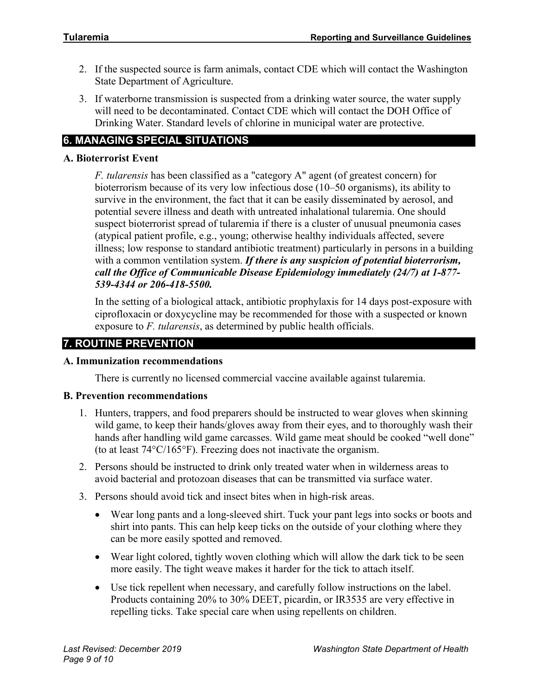- 2. If the suspected source is farm animals, contact CDE which will contact the Washington State Department of Agriculture.
- 3. If waterborne transmission is suspected from a drinking water source, the water supply will need to be decontaminated. Contact CDE which will contact the DOH Office of Drinking Water. Standard levels of chlorine in municipal water are protective.

# **6. MANAGING SPECIAL SITUATIONS**

# **A. Bioterrorist Event**

*F. tularensis* has been classified as a "category A" agent (of greatest concern) for bioterrorism because of its very low infectious dose (10–50 organisms), its ability to survive in the environment, the fact that it can be easily disseminated by aerosol, and potential severe illness and death with untreated inhalational tularemia. One should suspect bioterrorist spread of tularemia if there is a cluster of unusual pneumonia cases (atypical patient profile, e.g., young; otherwise healthy individuals affected, severe illness; low response to standard antibiotic treatment) particularly in persons in a building with a common ventilation system. *If there is any suspicion of potential bioterrorism, call the Office of Communicable Disease Epidemiology immediately (24/7) at 1-877- 539-4344 or 206-418-5500.*

In the setting of a biological attack, antibiotic prophylaxis for 14 days post-exposure with ciprofloxacin or doxycycline may be recommended for those with a suspected or known exposure to *F. tularensis*, as determined by public health officials.

# **7. ROUTINE PREVENTION**

# **A. Immunization recommendations**

There is currently no licensed commercial vaccine available against tularemia.

# **B. Prevention recommendations**

- 1. Hunters, trappers, and food preparers should be instructed to wear gloves when skinning wild game, to keep their hands/gloves away from their eyes, and to thoroughly wash their hands after handling wild game carcasses. Wild game meat should be cooked "well done" (to at least 74°C/165°F). Freezing does not inactivate the organism.
- 2. Persons should be instructed to drink only treated water when in wilderness areas to avoid bacterial and protozoan diseases that can be transmitted via surface water.
- 3. Persons should avoid tick and insect bites when in high-risk areas.
	- Wear long pants and a long-sleeved shirt. Tuck your pant legs into socks or boots and shirt into pants. This can help keep ticks on the outside of your clothing where they can be more easily spotted and removed.
	- Wear light colored, tightly woven clothing which will allow the dark tick to be seen more easily. The tight weave makes it harder for the tick to attach itself.
	- Use tick repellent when necessary, and carefully follow instructions on the label. Products containing 20% to 30% DEET, picardin, or IR3535 are very effective in repelling ticks. Take special care when using repellents on children.